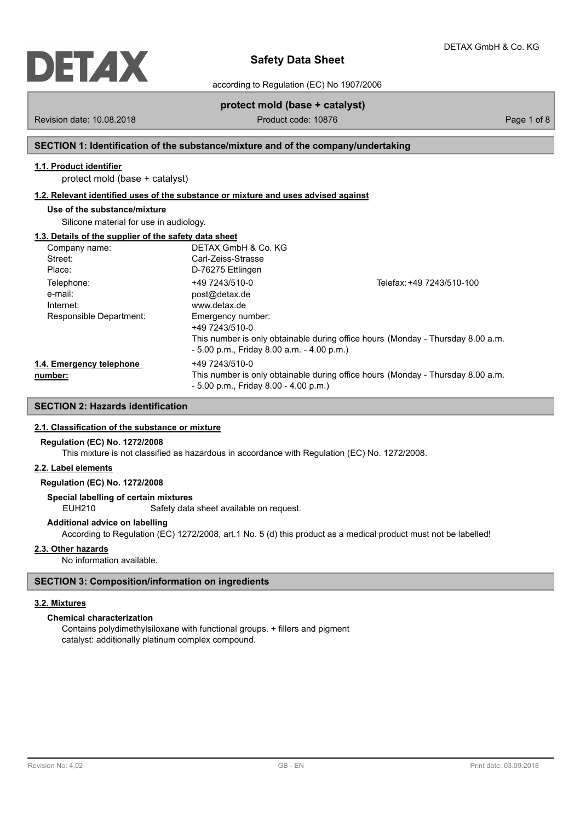

according to Regulation (EC) No 1907/2006

# **protect mold (base + catalyst)**

Revision date: 10.08.2018 **Product code: 10876** Product code: 10876 Page 1 of 8

# **SECTION 1: Identification of the substance/mixture and of the company/undertaking**

# **1.1. Product identifier**

protect mold (base + catalyst)

### **1.2. Relevant identified uses of the substance or mixture and uses advised against**

# **Use of the substance/mixture**

Silicone material for use in audiology.

# **1.3. Details of the supplier of the safety data sheet**

| Company name:            | DETAX GmbH & Co. KG                          |                                                                                 |
|--------------------------|----------------------------------------------|---------------------------------------------------------------------------------|
| Street:                  | Carl-Zeiss-Strasse                           |                                                                                 |
| Place:                   | D-76275 Ettlingen                            |                                                                                 |
| Telephone:               | +49 7243/510-0                               | Telefax: +49 7243/510-100                                                       |
| e-mail:                  | post@detax.de                                |                                                                                 |
| Internet:                | www.detax.de                                 |                                                                                 |
| Responsible Department:  | Emergency number:<br>+49 7243/510-0          |                                                                                 |
|                          | $-5.00$ p.m., Friday 8.00 a.m. $-4.00$ p.m.) | This number is only obtainable during office hours (Monday - Thursday 8.00 a.m. |
| 1.4. Emergency telephone | +49 7243/510-0                               |                                                                                 |
| number:                  | $-5.00$ p.m., Friday 8.00 $-4.00$ p.m.)      | This number is only obtainable during office hours (Monday - Thursday 8.00 a.m. |

# **SECTION 2: Hazards identification**

### **2.1. Classification of the substance or mixture**

### **Regulation (EC) No. 1272/2008**

This mixture is not classified as hazardous in accordance with Regulation (EC) No. 1272/2008.

# **2.2. Label elements**

# **Regulation (EC) No. 1272/2008**

**Special labelling of certain mixtures**

EUH210 Safety data sheet available on request.

## **Additional advice on labelling**

According to Regulation (EC) 1272/2008, art.1 No. 5 (d) this product as a medical product must not be labelled!

# **2.3. Other hazards**

No information available.

# **SECTION 3: Composition/information on ingredients**

### **3.2. Mixtures**

# **Chemical characterization**

Contains polydimethylsiloxane with functional groups. + fillers and pigment catalyst: additionally platinum complex compound.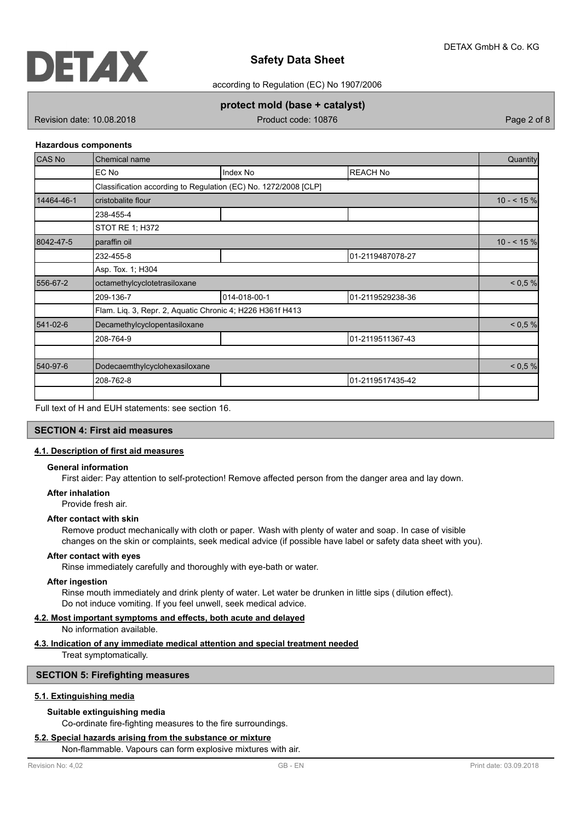

according to Regulation (EC) No 1907/2006

**protect mold (base + catalyst)**

Revision date: 10.08.2018 **Product code: 10876** Product code: 10876 Page 2 of 8

### **Hazardous components**

| CAS No     | Chemical name                                                   |              |                  | Quantity  |
|------------|-----------------------------------------------------------------|--------------|------------------|-----------|
|            | EC No                                                           | Index No     | <b>REACH No</b>  |           |
|            | Classification according to Regulation (EC) No. 1272/2008 [CLP] |              |                  |           |
| 14464-46-1 | cristobalite flour                                              |              |                  | $10 - 59$ |
|            | 238-455-4                                                       |              |                  |           |
|            | STOT RE 1; H372                                                 |              |                  |           |
| 8042-47-5  | paraffin oil                                                    |              |                  | $10 - 59$ |
|            | 232-455-8                                                       |              | 01-2119487078-27 |           |
|            | Asp. Tox. 1; H304                                               |              |                  |           |
| 556-67-2   | octamethylcyclotetrasiloxane                                    |              |                  | < 0.5 %   |
|            | 209-136-7                                                       | 014-018-00-1 | 01-2119529238-36 |           |
|            | Flam. Liq. 3, Repr. 2, Aquatic Chronic 4; H226 H361f H413       |              |                  |           |
| 541-02-6   | Decamethylcyclopentasiloxane                                    |              |                  | < 0.5 %   |
|            | 208-764-9                                                       |              | 01-2119511367-43 |           |
|            |                                                                 |              |                  |           |
| 540-97-6   | Dodecaemthylcyclohexasiloxane                                   |              |                  | < 0.5 %   |
|            | 208-762-8                                                       |              | 01-2119517435-42 |           |
|            |                                                                 |              |                  |           |

Full text of H and EUH statements: see section 16.

# **SECTION 4: First aid measures**

# **4.1. Description of first aid measures**

# **General information**

First aider: Pay attention to self-protection! Remove affected person from the danger area and lay down.

#### **After inhalation**

Provide fresh air.

# **After contact with skin**

Remove product mechanically with cloth or paper. Wash with plenty of water and soap. In case of visible changes on the skin or complaints, seek medical advice (if possible have label or safety data sheet with you).

### **After contact with eyes**

Rinse immediately carefully and thoroughly with eye-bath or water.

#### **After ingestion**

Rinse mouth immediately and drink plenty of water. Let water be drunken in little sips ( dilution effect). Do not induce vomiting. If you feel unwell, seek medical advice.

# **4.2. Most important symptoms and effects, both acute and delayed**

No information available.

# **4.3. Indication of any immediate medical attention and special treatment needed**

Treat symptomatically.

### **SECTION 5: Firefighting measures**

### **5.1. Extinguishing media**

## **Suitable extinguishing media**

Co-ordinate fire-fighting measures to the fire surroundings.

### **5.2. Special hazards arising from the substance or mixture**

Non-flammable. Vapours can form explosive mixtures with air.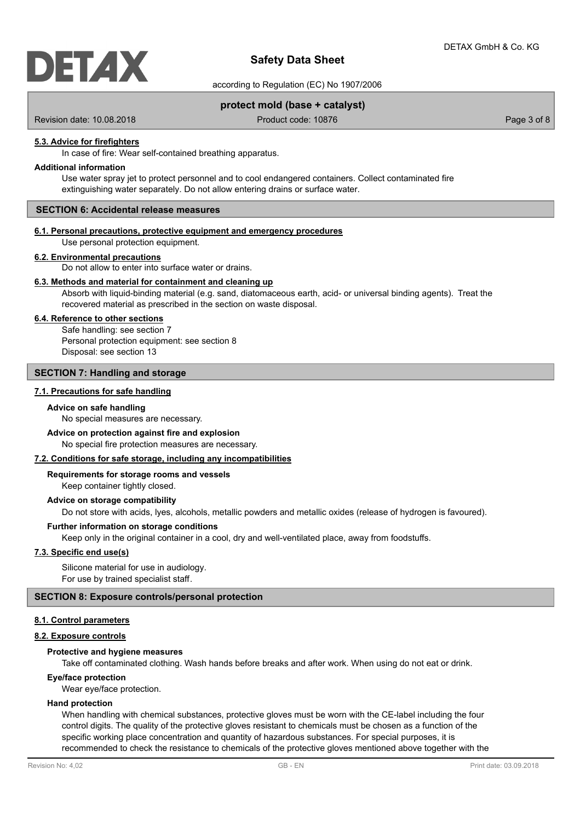

according to Regulation (EC) No 1907/2006

**Safety Data Sheet**

# **protect mold (base + catalyst)**

Revision date: 10.08.2018 Product code: 10876 Product code: 10876 Page 3 of 8

### **5.3. Advice for firefighters**

In case of fire: Wear self-contained breathing apparatus.

### **Additional information**

Use water spray jet to protect personnel and to cool endangered containers. Collect contaminated fire extinguishing water separately. Do not allow entering drains or surface water.

## **SECTION 6: Accidental release measures**

## **6.1. Personal precautions, protective equipment and emergency procedures**

Use personal protection equipment.

#### **6.2. Environmental precautions**

Do not allow to enter into surface water or drains.

### **6.3. Methods and material for containment and cleaning up**

Absorb with liquid-binding material (e.g. sand, diatomaceous earth, acid- or universal binding agents). Treat the recovered material as prescribed in the section on waste disposal.

### **6.4. Reference to other sections**

Safe handling: see section 7 Personal protection equipment: see section 8 Disposal: see section 13

## **SECTION 7: Handling and storage**

### **7.1. Precautions for safe handling**

#### **Advice on safe handling**

No special measures are necessary.

#### **Advice on protection against fire and explosion**

No special fire protection measures are necessary.

#### **7.2. Conditions for safe storage, including any incompatibilities**

Keep container tightly closed. **Requirements for storage rooms and vessels**

### **Advice on storage compatibility**

Do not store with acids, lyes, alcohols, metallic powders and metallic oxides (release of hydrogen is favoured).

### **Further information on storage conditions**

Keep only in the original container in a cool, dry and well-ventilated place, away from foodstuffs.

### **7.3. Specific end use(s)**

Silicone material for use in audiology. For use by trained specialist staff.

# **SECTION 8: Exposure controls/personal protection**

### **8.1. Control parameters**

## **8.2. Exposure controls**

### **Protective and hygiene measures**

Take off contaminated clothing. Wash hands before breaks and after work. When using do not eat or drink.

## **Eye/face protection**

Wear eye/face protection.

### **Hand protection**

When handling with chemical substances, protective gloves must be worn with the CE-label including the four control digits. The quality of the protective gloves resistant to chemicals must be chosen as a function of the specific working place concentration and quantity of hazardous substances. For special purposes, it is recommended to check the resistance to chemicals of the protective gloves mentioned above together with the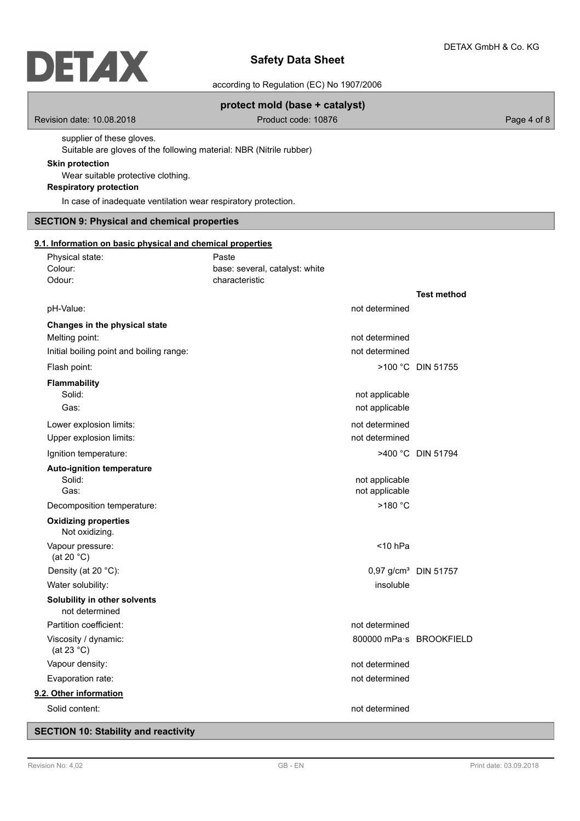according to Regulation (EC) No 1907/2006

# **protect mold (base + catalyst)**

Revision date: 10.08.2018 **Product code: 10876** Product code: 10876 Page 4 of 8

supplier of these gloves. Suitable are gloves of the following material: NBR (Nitrile rubber)

### **Skin protection**

Wear suitable protective clothing.

# **Respiratory protection**

In case of inadequate ventilation wear respiratory protection.

# **SECTION 9: Physical and chemical properties**

Physical state: Physical state:

### **9.1. Information on basic physical and chemical properties**

| Colour:<br>Odour:                            |                                                | base: several, catalyst: white<br>characteristic |                         |                                  |
|----------------------------------------------|------------------------------------------------|--------------------------------------------------|-------------------------|----------------------------------|
|                                              |                                                |                                                  |                         | <b>Test method</b>               |
| pH-Value:                                    |                                                |                                                  | not determined          |                                  |
|                                              | Changes in the physical state                  |                                                  |                         |                                  |
| Melting point:                               |                                                |                                                  | not determined          |                                  |
|                                              | Initial boiling point and boiling range:       |                                                  | not determined          |                                  |
| Flash point:                                 |                                                |                                                  |                         | >100 °C DIN 51755                |
| <b>Flammability</b>                          |                                                |                                                  |                         |                                  |
| Solid:                                       |                                                |                                                  | not applicable          |                                  |
| Gas:                                         |                                                |                                                  | not applicable          |                                  |
|                                              | Lower explosion limits:                        |                                                  | not determined          |                                  |
|                                              | Upper explosion limits:                        |                                                  | not determined          |                                  |
|                                              | Ignition temperature:                          |                                                  |                         | >400 °C DIN 51794                |
|                                              | <b>Auto-ignition temperature</b>               |                                                  |                         |                                  |
| Solid:                                       |                                                |                                                  | not applicable          |                                  |
| Gas:                                         |                                                |                                                  | not applicable          |                                  |
|                                              | Decomposition temperature:                     |                                                  | >180 °C                 |                                  |
|                                              | <b>Oxidizing properties</b><br>Not oxidizing.  |                                                  |                         |                                  |
| Vapour pressure:<br>(at 20 $°C$ )            |                                                |                                                  | $<$ 10 hPa              |                                  |
| Density (at 20 °C):                          |                                                |                                                  |                         | 0,97 g/cm <sup>3</sup> DIN 51757 |
| Water solubility:                            |                                                |                                                  | insoluble               |                                  |
|                                              | Solubility in other solvents<br>not determined |                                                  |                         |                                  |
| Partition coefficient:                       |                                                |                                                  | not determined          |                                  |
| Viscosity / dynamic:<br>(at 23 $^{\circ}$ C) |                                                |                                                  | 800000 mPa·s BROOKFIELD |                                  |
| Vapour density:                              |                                                |                                                  | not determined          |                                  |
| Evaporation rate:                            |                                                |                                                  | not determined          |                                  |
| 9.2. Other information                       |                                                |                                                  |                         |                                  |
| Solid content:                               |                                                |                                                  | not determined          |                                  |

# **SECTION 10: Stability and reactivity**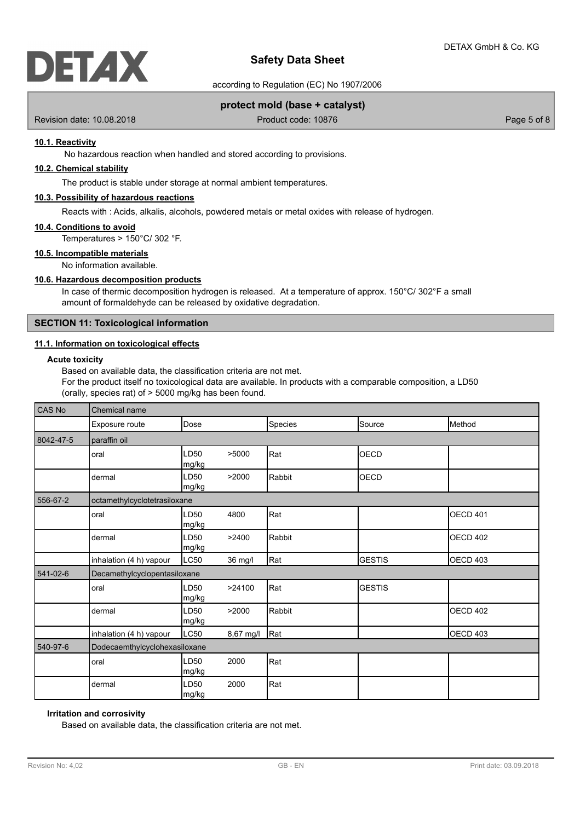

according to Regulation (EC) No 1907/2006

# **protect mold (base + catalyst)**

Revision date: 10.08.2018 Product code: 10876 Product code: 10876 Page 5 of 8

### **10.1. Reactivity**

No hazardous reaction when handled and stored according to provisions.

# **10.2. Chemical stability**

The product is stable under storage at normal ambient temperatures.

## **10.3. Possibility of hazardous reactions**

Reacts with : Acids, alkalis, alcohols, powdered metals or metal oxides with release of hydrogen.

#### **10.4. Conditions to avoid**

Temperatures > 150°C/ 302 °F.

# **10.5. Incompatible materials**

No information available.

### **10.6. Hazardous decomposition products**

In case of thermic decomposition hydrogen is released. At a temperature of approx. 150°C/ 302°F a small amount of formaldehyde can be released by oxidative degradation.

# **SECTION 11: Toxicological information**

# **11.1. Information on toxicological effects**

# **Acute toxicity**

Based on available data, the classification criteria are not met.

For the product itself no toxicological data are available. In products with a comparable composition, a LD50 (orally, species rat) of > 5000 mg/kg has been found.

| <b>CAS No</b> | Chemical name                 |                           |           |         |               |                 |
|---------------|-------------------------------|---------------------------|-----------|---------|---------------|-----------------|
|               | Exposure route                | Dose                      |           | Species | Source        | <b>I</b> Method |
| 8042-47-5     | paraffin oil                  |                           |           |         |               |                 |
|               | oral                          | LD <sub>50</sub><br>mg/kg | >5000     | Rat     | <b>OECD</b>   |                 |
|               | dermal                        | LD <sub>50</sub><br>mg/kg | >2000     | Rabbit  | <b>OECD</b>   |                 |
| 556-67-2      | octamethylcyclotetrasiloxane  |                           |           |         |               |                 |
|               | oral                          | LD <sub>50</sub><br>mg/kg | 4800      | Rat     |               | OECD 401        |
|               | dermal                        | LD <sub>50</sub><br>mg/kg | >2400     | Rabbit  |               | OECD 402        |
|               | inhalation (4 h) vapour       | LC50                      | 36 mg/l   | Rat     | <b>GESTIS</b> | OECD 403        |
| 541-02-6      | Decamethylcyclopentasiloxane  |                           |           |         |               |                 |
|               | oral                          | LD <sub>50</sub><br>mg/kg | >24100    | Rat     | <b>GESTIS</b> |                 |
|               | dermal                        | LD <sub>50</sub><br>mg/kg | >2000     | Rabbit  |               | IOECD 402       |
|               | inhalation (4 h) vapour       | LC50                      | 8,67 mg/l | Rat     |               | OECD 403        |
| 540-97-6      | Dodecaemthylcyclohexasiloxane |                           |           |         |               |                 |
|               | oral                          | LD50<br>mg/kg             | 2000      | Rat     |               |                 |
|               | dermal                        | LD <sub>50</sub><br>mg/kg | 2000      | Rat     |               |                 |

### **Irritation and corrosivity**

Based on available data, the classification criteria are not met.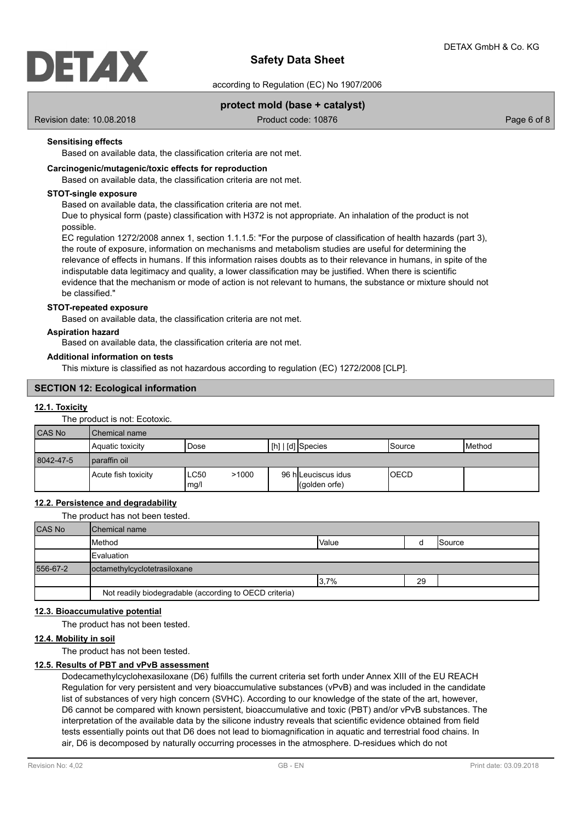

according to Regulation (EC) No 1907/2006

# **protect mold (base + catalyst)**

Revision date: 10.08.2018 Product code: 10876 Product code: 10876 Page 6 of 8

## **Sensitising effects**

Based on available data, the classification criteria are not met.

### **Carcinogenic/mutagenic/toxic effects for reproduction**

Based on available data, the classification criteria are not met.

### **STOT-single exposure**

Based on available data, the classification criteria are not met.

Due to physical form (paste) classification with H372 is not appropriate. An inhalation of the product is not possible.

EC regulation 1272/2008 annex 1, section 1.1.1.5: "For the purpose of classification of health hazards (part 3), the route of exposure, information on mechanisms and metabolism studies are useful for determining the relevance of effects in humans. If this information raises doubts as to their relevance in humans, in spite of the indisputable data legitimacy and quality, a lower classification may be justified. When there is scientific evidence that the mechanism or mode of action is not relevant to humans, the substance or mixture should not be classified."

### **STOT-repeated exposure**

Based on available data, the classification criteria are not met.

### **Aspiration hazard**

Based on available data, the classification criteria are not met.

### **Additional information on tests**

This mixture is classified as not hazardous according to regulation (EC) 1272/2008 [CLP].

## **SECTION 12: Ecological information**

### **12.1. Toxicity**

The product is not: Ecotoxic.

| CAS No    | Chemical name       |                       |                                               |             |                 |
|-----------|---------------------|-----------------------|-----------------------------------------------|-------------|-----------------|
|           | Aquatic toxicity    | Dose                  | $\lfloor$ [h] $\rfloor$ [d] $\lfloor$ Species | Source      | <b>I</b> Method |
| 8042-47-5 | l paraffin oil      |                       |                                               |             |                 |
|           | Acute fish toxicity | LC50<br>>1000<br>mg/l | 96 h Leuciscus idus<br>(qolden orfe)          | <b>OECD</b> |                 |

# **12.2. Persistence and degradability**

The product has not been tested.

| <b>CAS No</b> | <b>IChemical name</b>                                  |              |    |        |
|---------------|--------------------------------------------------------|--------------|----|--------|
|               | Method                                                 | <b>Value</b> |    | Source |
|               | <b>IEvaluation</b>                                     |              |    |        |
| 556-67-2      | octamethylcyclotetrasiloxane                           |              |    |        |
|               |                                                        | 3,7%         | 29 |        |
|               | Not readily biodegradable (according to OECD criteria) |              |    |        |

### **12.3. Bioaccumulative potential**

The product has not been tested.

### **12.4. Mobility in soil**

The product has not been tested.

### **12.5. Results of PBT and vPvB assessment**

Dodecamethylcyclohexasiloxane (D6) fulfills the current criteria set forth under Annex XIII of the EU REACH Regulation for very persistent and very bioaccumulative substances (vPvB) and was included in the candidate list of substances of very high concern (SVHC). According to our knowledge of the state of the art, however, D6 cannot be compared with known persistent, bioaccumulative and toxic (PBT) and/or vPvB substances. The interpretation of the available data by the silicone industry reveals that scientific evidence obtained from field tests essentially points out that D6 does not lead to biomagnification in aquatic and terrestrial food chains. In air, D6 is decomposed by naturally occurring processes in the atmosphere. D-residues which do not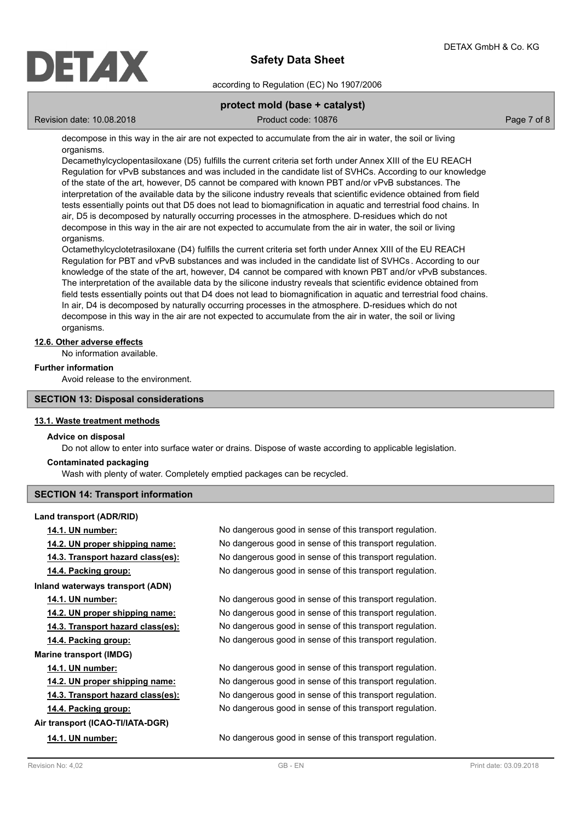

according to Regulation (EC) No 1907/2006

# **protect mold (base + catalyst)**

Revision date: 10.08.2018 Product code: 10876 Product code: 10876 Page 7 of 8

decompose in this way in the air are not expected to accumulate from the air in water, the soil or living organisms.

Decamethylcyclopentasiloxane (D5) fulfills the current criteria set forth under Annex XIII of the EU REACH Regulation for vPvB substances and was included in the candidate list of SVHCs. According to our knowledge of the state of the art, however, D5 cannot be compared with known PBT and/or vPvB substances. The interpretation of the available data by the silicone industry reveals that scientific evidence obtained from field tests essentially points out that D5 does not lead to biomagnification in aquatic and terrestrial food chains. In air, D5 is decomposed by naturally occurring processes in the atmosphere. D-residues which do not decompose in this way in the air are not expected to accumulate from the air in water, the soil or living organisms.

Octamethylcyclotetrasiloxane (D4) fulfills the current criteria set forth under Annex XIII of the EU REACH Regulation for PBT and vPvB substances and was included in the candidate list of SVHCs . According to our knowledge of the state of the art, however, D4 cannot be compared with known PBT and/or vPvB substances. The interpretation of the available data by the silicone industry reveals that scientific evidence obtained from field tests essentially points out that D4 does not lead to biomagnification in aquatic and terrestrial food chains. In air, D4 is decomposed by naturally occurring processes in the atmosphere. D-residues which do not decompose in this way in the air are not expected to accumulate from the air in water, the soil or living organisms.

## **12.6. Other adverse effects**

No information available.

### **Further information**

Avoid release to the environment.

### **SECTION 13: Disposal considerations**

### **13.1. Waste treatment methods**

#### **Advice on disposal**

Do not allow to enter into surface water or drains. Dispose of waste according to applicable legislation.

### **Contaminated packaging**

Wash with plenty of water. Completely emptied packages can be recycled.

# **SECTION 14: Transport information**

**Land transport (ADR/RID) Inland waterways transport (ADN) Marine transport (IMDG) Air transport (ICAO-TI/IATA-DGR)**

**14.1. UN number:** No dangerous good in sense of this transport regulation. **14.2. UN proper shipping name:** No dangerous good in sense of this transport regulation. **14.3. Transport hazard class(es):** No dangerous good in sense of this transport regulation. **14.4. Packing group:** No dangerous good in sense of this transport regulation.

**14.1. UN number:** No dangerous good in sense of this transport regulation. **14.2. UN proper shipping name:** No dangerous good in sense of this transport regulation. **14.3. Transport hazard class(es):** No dangerous good in sense of this transport regulation. **14.4. Packing group:** No dangerous good in sense of this transport regulation.

**14.1. UN number:** No dangerous good in sense of this transport regulation. **14.2. UN proper shipping name:** No dangerous good in sense of this transport regulation. **14.3. Transport hazard class(es):** No dangerous good in sense of this transport regulation. **14.4. Packing group:** No dangerous good in sense of this transport regulation.

**14.1. UN number:** No dangerous good in sense of this transport regulation.